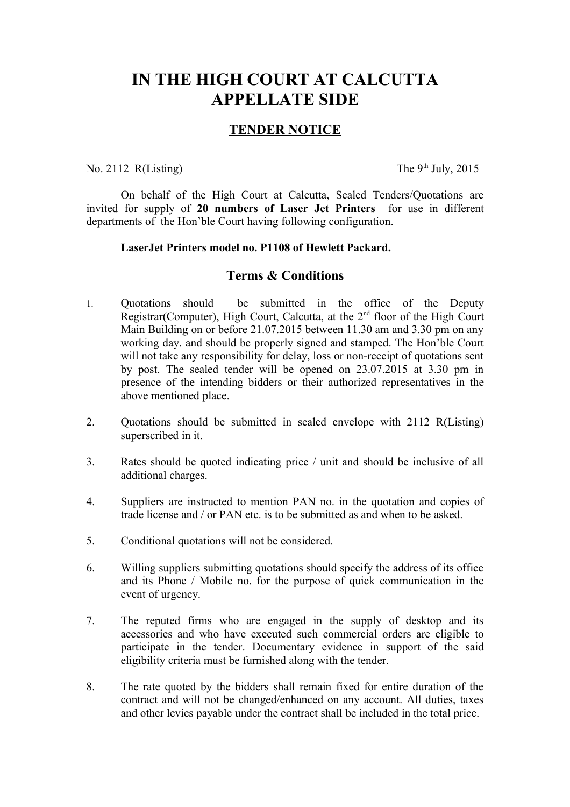# **IN THE HIGH COURT AT CALCUTTA APPELLATE SIDE**

## **TENDER NOTICE**

### No. 2112 R(Listing) The  $9<sup>th</sup>$  July, 2015

On behalf of the High Court at Calcutta, Sealed Tenders/Quotations are invited for supply of **20 numbers of Laser Jet Printers** for use in different departments of the Hon'ble Court having following configuration.

#### **LaserJet Printers model no. P1108 of Hewlett Packard.**

### **Terms & Conditions**

- 1. Quotations should be submitted in the office of the Deputy Registrar(Computer), High Court, Calcutta, at the  $2<sup>nd</sup>$  floor of the High Court Main Building on or before 21.07.2015 between 11.30 am and 3.30 pm on any working day. and should be properly signed and stamped. The Hon'ble Court will not take any responsibility for delay, loss or non-receipt of quotations sent by post. The sealed tender will be opened on 23.07.2015 at 3.30 pm in presence of the intending bidders or their authorized representatives in the above mentioned place.
- 2. Quotations should be submitted in sealed envelope with 2112 R(Listing) superscribed in it.
- 3. Rates should be quoted indicating price / unit and should be inclusive of all additional charges.
- 4. Suppliers are instructed to mention PAN no. in the quotation and copies of trade license and / or PAN etc. is to be submitted as and when to be asked.
- 5. Conditional quotations will not be considered.
- 6. Willing suppliers submitting quotations should specify the address of its office and its Phone / Mobile no. for the purpose of quick communication in the event of urgency.
- 7. The reputed firms who are engaged in the supply of desktop and its accessories and who have executed such commercial orders are eligible to participate in the tender. Documentary evidence in support of the said eligibility criteria must be furnished along with the tender.
- 8. The rate quoted by the bidders shall remain fixed for entire duration of the contract and will not be changed/enhanced on any account. All duties, taxes and other levies payable under the contract shall be included in the total price.